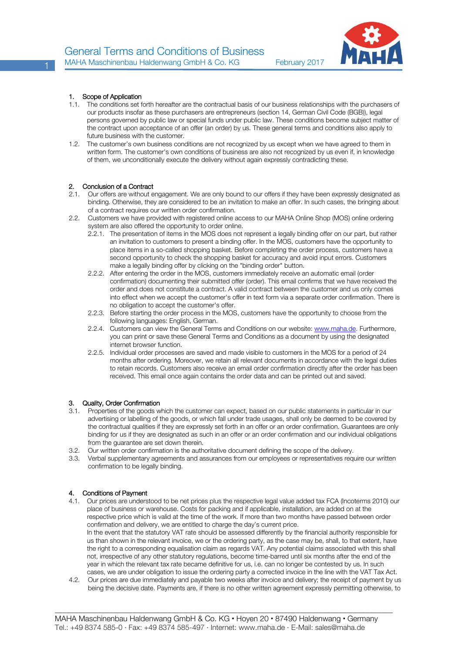

# 1. Scope of Application

- 1.1. The conditions set forth hereafter are the contractual basis of our business relationships with the purchasers of our products insofar as these purchasers are entrepreneurs (section 14, German Civil Code (BGB)), legal persons governed by public law or special funds under public law. These conditions become subject matter of the contract upon acceptance of an offer (an order) by us. These general terms and conditions also apply to future business with the customer.
- 1.2. The customer's own business conditions are not recognized by us except when we have agreed to them in written form. The customer's own conditions of business are also not recognized by us even if, in knowledge of them, we unconditionally execute the delivery without again expressly contradicting these.

## 2. Conclusion of a Contract

- 2.1. Our offers are without engagement. We are only bound to our offers if they have been expressly designated as binding. Otherwise, they are considered to be an invitation to make an offer. In such cases, the bringing about of a contract requires our written order confirmation.
- 2.2. Customers we have provided with registered online access to our MAHA Online Shop (MOS) online ordering system are also offered the opportunity to order online.
	- 2.2.1. The presentation of items in the MOS does not represent a legally binding offer on our part, but rather an invitation to customers to present a binding offer. In the MOS, customers have the opportunity to place items in a so-called shopping basket. Before completing the order process, customers have a second opportunity to check the shopping basket for accuracy and avoid input errors. Customers make a legally binding offer by clicking on the "binding order" button.
	- 2.2.2. After entering the order in the MOS, customers immediately receive an automatic email (order confirmation) documenting their submitted offer (order). This email confirms that we have received the order and does not constitute a contract. A valid contract between the customer and us only comes into effect when we accept the customer's offer in text form via a separate order confirmation. There is no obligation to accept the customer's offer.
	- 2.2.3. Before starting the order process in the MOS, customers have the opportunity to choose from the following languages: English, German.
	- 2.2.4. Customers can view the General Terms and Conditions on our website: [www.maha.de.](http://www.maha.de/) Furthermore, you can print or save these General Terms and Conditions as a document by using the designated internet browser function.
	- 2.2.5. Individual order processes are saved and made visible to customers in the MOS for a period of 24 months after ordering. Moreover, we retain all relevant documents in accordance with the legal duties to retain records. Customers also receive an email order confirmation directly after the order has been received. This email once again contains the order data and can be printed out and saved.

### 3. Quality, Order Confirmation

- 3.1. Properties of the goods which the customer can expect, based on our public statements in particular in our advertising or labelling of the goods, or which fall under trade usages, shall only be deemed to be covered by the contractual qualities if they are expressly set forth in an offer or an order confirmation. Guarantees are only binding for us if they are designated as such in an offer or an order confirmation and our individual obligations from the guarantee are set down therein.
- 3.2. Our written order confirmation is the authoritative document defining the scope of the delivery.
- 3.3. Verbal supplementary agreements and assurances from our employees or representatives require our written confirmation to be legally binding.

### 4. Conditions of Payment

- 4.1. Our prices are understood to be net prices plus the respective legal value added tax FCA (Incoterms 2010) our place of business or warehouse. Costs for packing and if applicable, installation, are added on at the respective price which is valid at the time of the work. If more than two months have passed between order confirmation and delivery, we are entitled to charge the day's current price. In the event that the statutory VAT rate should be assessed differently by the financial authority responsible for us than shown in the relevant invoice, we or the ordering party, as the case may be, shall, to that extent, have the right to a corresponding equalisation claim as regards VAT. Any potential claims associated with this shall not, irrespective of any other statutory regulations, become time-barred until six months after the end of the year in which the relevant tax rate became definitive for us, i.e. can no longer be contested by us. In such cases, we are under obligation to issue the ordering party a corrected invoice in the line with the VAT Tax Act.
- 4.2. Our prices are due immediately and payable two weeks after invoice and delivery; the receipt of payment by us being the decisive date. Payments are, if there is no other written agreement expressly permitting otherwise, to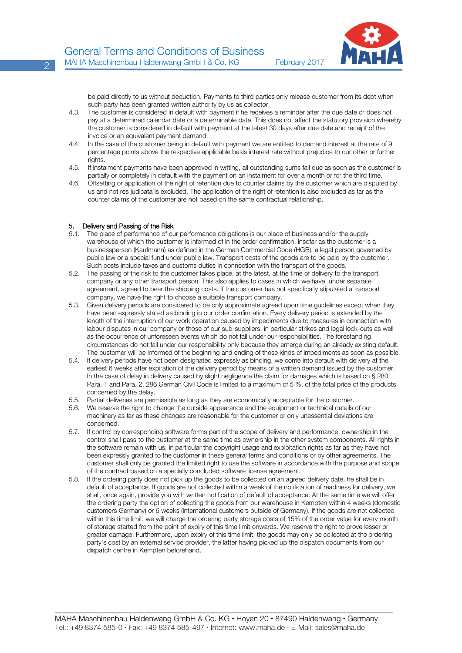

be paid directly to us without deduction. Payments to third parties only release customer from its debt when such party has been granted written authority by us as collector.

- 4.3. The customer is considered in default with payment if he receives a reminder after the due date or does not pay at a determined calendar date or a determinable date. This does not affect the statutory provision whereby the customer is considered in default with payment at the latest 30 days after due date and receipt of the invoice or an equivalent payment demand.
- 4.4. In the case of the customer being in default with payment we are entitled to demand interest at the rate of 9 percentage points above the respective applicable basis interest rate without prejudice to our other or further rights
- 4.5. If instalment payments have been approved in writing, all outstanding sums fall due as soon as the customer is partially or completely in default with the payment on an instalment for over a month or for the third time.
- 4.6. Offsetting or application of the right of retention due to counter claims by the customer which are disputed by us and not res judicata is excluded. The application of the right of retention is also excluded as far as the counter claims of the customer are not based on the same contractual relationship.

### 5. Delivery and Passing of the Risk

- 5.1. The place of performance of our performance obligations is our place of business and/or the supply warehouse of which the customer is informed of in the order confirmation, insofar as the customer is a businessperson (Kaufmann) as defined in the German Commercial Code (HGB), a legal person governed by public law or a special fund under public law. Transport costs of the goods are to be paid by the customer. Such costs include taxes and customs duties in connection with the transport of the goods.
- 5.2. The passing of the risk to the customer takes place, at the latest, at the time of delivery to the transport company or any other transport person. This also applies to cases in which we have, under separate agreement, agreed to bear the shipping costs. If the customer has not specifically stipulated a transport company, we have the right to choose a suitable transport company.
- 5.3. Given delivery periods are considered to be only approximate agreed upon time guidelines except when they have been expressly stated as binding in our order confirmation. Every delivery period is extended by the length of the interruption of our work operation caused by impediments due to measures in connection with labour disputes in our company or those of our sub-suppliers, in particular strikes and legal lock-outs as well as the occurrence of unforeseen events which do not fall under our responsibilities. The forestanding circumstances do not fall under our responsibility only because they emerge during an already existing default. The customer will be informed of the beginning and ending of these kinds of impediments as soon as possible.
- 5.4. If delivery periods have not been designated expressly as binding, we come into default with delivery at the earliest 6 weeks after expiration of the delivery period by means of a written demand issued by the customer. In the case of delay in delivery caused by slight negligence the claim for damages which is based on § 280 Para. 1 and Para. 2, 286 German Civil Code is limited to a maximum of 5 %, of the total price of the products concerned by the delay.
- 5.5. Partial deliveries are permissible as long as they are economically acceptable for the customer.
- 5.6. We reserve the right to change the outside appearance and the equipment or technical details of our machinery as far as these changes are reasonable for the customer or only unessential deviations are concerned.
- 5.7. If control by corresponding software forms part of the scope of delivery and performance, ownership in the control shall pass to the customer at the same time as ownership in the other system components. All rights in the software remain with us, in particular the copyright usage and exploitation rights as far as they have not been expressly granted to the customer in these general terms and conditions or by other agreements. The customer shall only be granted the limited right to use the software in accordance with the purpose and scope of the contract based on a specially concluded software license agreement.
- 5.8. If the ordering party does not pick up the goods to be collected on an agreed delivery date, he shall be in default of acceptance. If goods are not collected within a week of the notification of readiness for delivery, we shall, once again, provide you with written notification of default of acceptance. At the same time we will offer the ordering party the option of collecting the goods from our warehouse in Kempten within 4 weeks (domestic customers Germany) or 6 weeks (international customers outside of Germany). If the goods are not collected within this time limit, we will charge the ordering party storage costs of 15% of the order value for every month of storage started from the point of expiry of this time limit onwards. We reserve the right to prove lesser or greater damage. Furthermore, upon expiry of this time limit, the goods may only be collected at the ordering party's cost by an external service provider, the latter having picked up the dispatch documents from our dispatch centre in Kempten beforehand.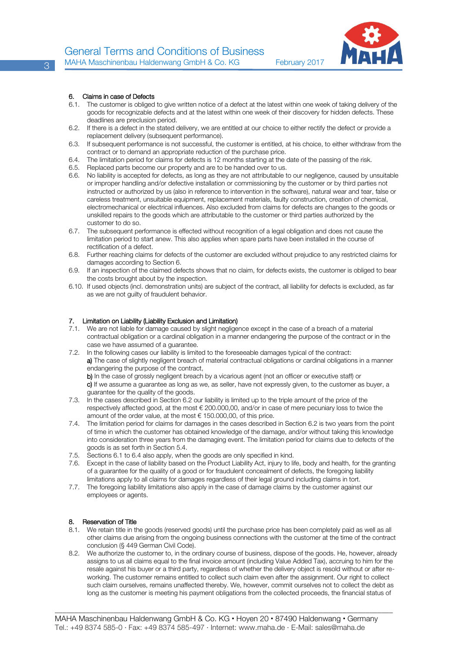

# 6. Claims in case of Defects

- 6.1. The customer is obliged to give written notice of a defect at the latest within one week of taking delivery of the goods for recognizable defects and at the latest within one week of their discovery for hidden defects. These deadlines are preclusion period.
- 6.2. If there is a defect in the stated delivery, we are entitled at our choice to either rectify the defect or provide a replacement delivery (subsequent performance).
- 6.3. If subsequent performance is not successful, the customer is entitled, at his choice, to either withdraw from the contract or to demand an appropriate reduction of the purchase price.
- 6.4. The limitation period for claims for defects is 12 months starting at the date of the passing of the risk.
- 6.5. Replaced parts become our property and are to be handed over to us.
- 6.6. No liability is accepted for defects, as long as they are not attributable to our negligence, caused by unsuitable or improper handling and/or defective installation or commissioning by the customer or by third parties not instructed or authorized by us (also in reference to intervention in the software), natural wear and tear, false or careless treatment, unsuitable equipment, replacement materials, faulty construction, creation of chemical, electromechanical or electrical influences. Also excluded from claims for defects are changes to the goods or unskilled repairs to the goods which are attributable to the customer or third parties authorized by the customer to do so.
- 6.7. The subsequent performance is effected without recognition of a legal obligation and does not cause the limitation period to start anew. This also applies when spare parts have been installed in the course of rectification of a defect.
- 6.8. Further reaching claims for defects of the customer are excluded without prejudice to any restricted claims for damages according to Section 6.
- 6.9. If an inspection of the claimed defects shows that no claim, for defects exists, the customer is obliged to bear the costs brought about by the inspection.
- 6.10. If used objects (incl. demonstration units) are subject of the contract, all liability for defects is excluded, as far as we are not guilty of fraudulent behavior.

#### 7. Limitation on Liability (Liability Exclusion and Limitation)

- 7.1. We are not liable for damage caused by slight negligence except in the case of a breach of a material contractual obligation or a cardinal obligation in a manner endangering the purpose of the contract or in the case we have assumed of a guarantee.
- 7.2. In the following cases our liability is limited to the foreseeable damages typical of the contract: a) The case of slightly negligent breach of material contractual obligations or cardinal obligations in a manner endangering the purpose of the contract, b) In the case of grossly negligent breach by a vicarious agent (not an officer or executive staff) or
	- c) If we assume a guarantee as long as we, as seller, have not expressly given, to the customer as buyer, a guarantee for the quality of the goods.
- 7.3. In the cases described in Section 6.2 our liability is limited up to the triple amount of the price of the respectively affected good, at the most € 200.000,00, and/or in case of mere pecuniary loss to twice the amount of the order value, at the most € 150.000,00, of this price.
- 7.4. The limitation period for claims for damages in the cases described in Section 6.2 is two years from the point of time in which the customer has obtained knowledge of the damage, and/or without taking this knowledge into consideration three years from the damaging event. The limitation period for claims due to defects of the goods is as set forth in Section 5.4.
- 7.5. Sections 6.1 to 6.4 also apply, when the goods are only specified in kind.
- 7.6. Except in the case of liability based on the Product Liability Act, injury to life, body and health, for the granting of a guarantee for the quality of a good or for fraudulent concealment of defects, the foregoing liability limitations apply to all claims for damages regardless of their legal ground including claims in tort.
- 7.7. The foregoing liability limitations also apply in the case of damage claims by the customer against our employees or agents.

#### 8. Reservation of Title

- 8.1. We retain title in the goods (reserved goods) until the purchase price has been completely paid as well as all other claims due arising from the ongoing business connections with the customer at the time of the contract conclusion (§ 449 German Civil Code).
- 8.2. We authorize the customer to, in the ordinary course of business, dispose of the goods. He, however, already assigns to us all claims equal to the final invoice amount (including Value Added Tax), accruing to him for the resale against his buyer or a third party, regardless of whether the delivery object is resold without or after reworking. The customer remains entitled to collect such claim even after the assignment. Our right to collect such claim ourselves, remains unaffected thereby. We, however, commit ourselves not to collect the debt as long as the customer is meeting his payment obligations from the collected proceeds, the financial status of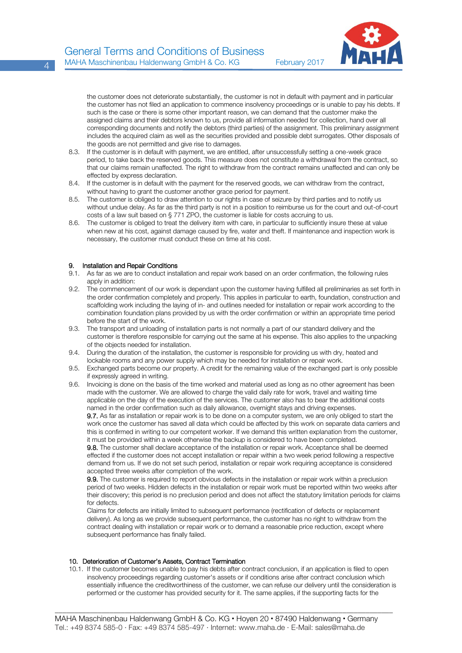

the customer does not deteriorate substantially, the customer is not in default with payment and in particular the customer has not filed an application to commence insolvency proceedings or is unable to pay his debts. If such is the case or there is some other important reason, we can demand that the customer make the assigned claims and their debtors known to us, provide all information needed for collection, hand over all corresponding documents and notify the debtors (third parties) of the assignment. This preliminary assignment includes the acquired claim as well as the securities provided and possible debt surrogates. Other disposals of the goods are not permitted and give rise to damages.

- 8.3. If the customer is in default with payment, we are entitled, after unsuccessfully setting a one-week grace period, to take back the reserved goods. This measure does not constitute a withdrawal from the contract, so that our claims remain unaffected. The right to withdraw from the contract remains unaffected and can only be effected by express declaration.
- 8.4. If the customer is in default with the payment for the reserved goods, we can withdraw from the contract, without having to grant the customer another grace period for payment.
- 8.5. The customer is obliged to draw attention to our rights in case of seizure by third parties and to notify us without undue delay. As far as the third party is not in a position to reimburse us for the court and out-of-court costs of a law suit based on § 771 ZPO, the customer is liable for costs accruing to us.
- 8.6. The customer is obliged to treat the delivery item with care, in particular to sufficiently insure these at value when new at his cost, against damage caused by fire, water and theft. If maintenance and inspection work is necessary, the customer must conduct these on time at his cost.

### 9. Installation and Repair Conditions

- 9.1. As far as we are to conduct installation and repair work based on an order confirmation, the following rules apply in addition:
- 9.2. The commencement of our work is dependant upon the customer having fulfilled all preliminaries as set forth in the order confirmation completely and properly. This applies in particular to earth, foundation, construction and scaffolding work including the laying of in- and outlines needed for installation or repair work according to the combination foundation plans provided by us with the order confirmation or within an appropriate time period before the start of the work.
- 9.3. The transport and unloading of installation parts is not normally a part of our standard delivery and the customer is therefore responsible for carrying out the same at his expense. This also applies to the unpacking of the objects needed for installation.
- 9.4. During the duration of the installation, the customer is responsible for providing us with dry, heated and lockable rooms and any power supply which may be needed for installation or repair work.
- 9.5. Exchanged parts become our property. A credit for the remaining value of the exchanged part is only possible if expressly agreed in writing.
- 9.6. Invoicing is done on the basis of the time worked and material used as long as no other agreement has been made with the customer. We are allowed to charge the valid daily rate for work, travel and waiting time applicable on the day of the execution of the services. The customer also has to bear the additional costs named in the order confirmation such as daily allowance, overnight stays and driving expenses.

9.7. As far as installation or repair work is to be done on a computer system, we are only obliged to start the work once the customer has saved all data which could be affected by this work on separate data carriers and this is confirmed in writing to our competent worker. If we demand this written explanation from the customer, it must be provided within a week otherwise the backup is considered to have been completed.

9.8. The customer shall declare acceptance of the installation or repair work. Acceptance shall be deemed effected if the customer does not accept installation or repair within a two week period following a respective demand from us. If we do not set such period, installation or repair work requiring acceptance is considered accepted three weeks after completion of the work.

9.9. The customer is required to report obvious defects in the installation or repair work within a preclusion period of two weeks. Hidden defects in the installation or repair work must be reported within two weeks after their discovery; this period is no preclusion period and does not affect the statutory limitation periods for claims for defects.

Claims for defects are initially limited to subsequent performance (rectification of defects or replacement delivery). As long as we provide subsequent performance, the customer has no right to withdraw from the contract dealing with installation or repair work or to demand a reasonable price reduction, except where subsequent performance has finally failed.

### 10. Deterioration of Customer's Assets, Contract Termination

10.1. If the customer becomes unable to pay his debts after contract conclusion, if an application is filed to open insolvency proceedings regarding customer's assets or if conditions arise after contract conclusion which essentially influence the creditworthiness of the customer, we can refuse our delivery until the consideration is performed or the customer has provided security for it. The same applies, if the supporting facts for the